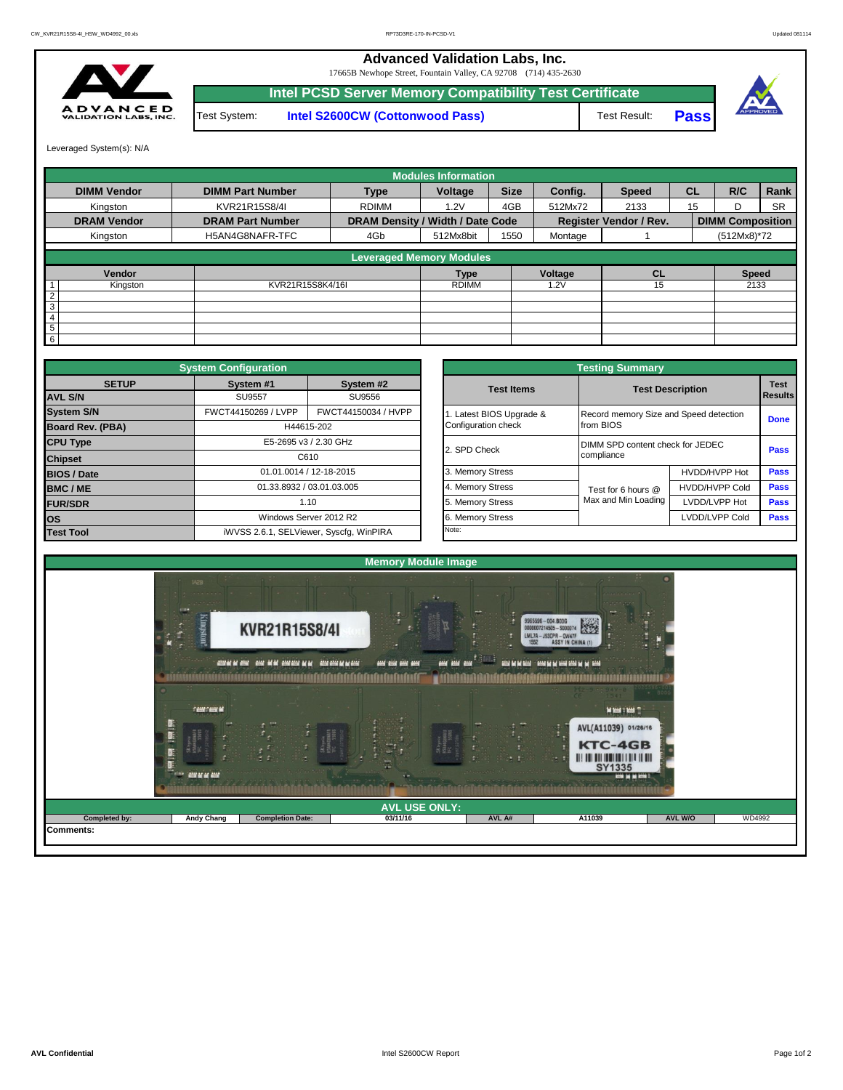**Advanced Validation Labs, Inc.** 

17665B Newhope Street, Fountain Valley, CA 92708 (714) 435-2630



Test System: **Intel S2600CW (Cottonwood Pass) Intel PCSD Server Memory Compatibility Test Certificate** Test Result: **Pass**



Leveraged System(s): N/A

|                    |                         |                                  | <b>Modules Information</b> |             |         |                               |           |                         |           |
|--------------------|-------------------------|----------------------------------|----------------------------|-------------|---------|-------------------------------|-----------|-------------------------|-----------|
| <b>DIMM Vendor</b> | <b>DIMM Part Number</b> | <b>Type</b>                      | Voltage                    | <b>Size</b> | Config. | <b>Speed</b>                  | <b>CL</b> | R/C                     | Rank      |
| Kingston           | KVR21R15S8/4I           | <b>RDIMM</b>                     | 1.2V                       | 4GB         | 512Mx72 | 2133                          | 15        | D                       | <b>SR</b> |
| <b>DRAM Vendor</b> | <b>DRAM Part Number</b> | DRAM Density / Width / Date Code |                            |             |         | <b>Register Vendor / Rev.</b> |           | <b>DIMM Composition</b> |           |
| Kingston           | H5AN4G8NAFR-TFC         | 4Gb                              | 512Mx8bit                  | 1550        | Montage |                               |           | (512Mx8)*72             |           |
|                    |                         | <b>Leveraged Memory Modules</b>  |                            |             |         |                               |           |                         |           |
| Vendor             |                         |                                  | <b>Type</b>                |             | Voltage | <b>CL</b>                     |           | <b>Speed</b>            |           |
| Kingston           | KVR21R15S8K4/16I        |                                  | <b>RDIMM</b>               |             | 1.2V    | 15                            |           | 2133                    |           |
| 2                  |                         |                                  |                            |             |         |                               |           |                         |           |
| $\overline{3}$     |                         |                                  |                            |             |         |                               |           |                         |           |
| $\overline{4}$     |                         |                                  |                            |             |         |                               |           |                         |           |
| $\overline{5}$     |                         |                                  |                            |             |         |                               |           |                         |           |
| $6\overline{6}$    |                         |                                  |                            |             |         |                               |           |                         |           |

|                    | <b>System Configuration</b>             |                           |  | <b>Testing Summary</b> |                                        |                                  |             |  |  |  |  |  |
|--------------------|-----------------------------------------|---------------------------|--|------------------------|----------------------------------------|----------------------------------|-------------|--|--|--|--|--|
| <b>SETUP</b>       | System #1                               | System #2                 |  | <b>Test Items</b>      |                                        | <b>Test Description</b>          |             |  |  |  |  |  |
| <b>AVL S/N</b>     | <b>SU9557</b>                           | SU9556                    |  |                        |                                        |                                  |             |  |  |  |  |  |
| <b>System S/N</b>  | FWCT44150269 / LVPP                     | FWCT44150034 / HVPP       |  | Latest BIOS Upgrade &  | Record memory Size and Speed detection |                                  | <b>Done</b> |  |  |  |  |  |
| Board Rev. (PBA)   |                                         | H44615-202                |  | Configuration check    | from BIOS                              |                                  |             |  |  |  |  |  |
| <b>CPU Type</b>    |                                         | E5-2695 v3 / 2.30 GHz     |  | 2. SPD Check           |                                        | DIMM SPD content check for JEDEC |             |  |  |  |  |  |
| <b>Chipset</b>     |                                         | C610                      |  |                        | compliance                             | Pass                             |             |  |  |  |  |  |
| <b>BIOS / Date</b> |                                         | 01.01.0014 / 12-18-2015   |  | 3. Memory Stress       |                                        | HVDD/HVPP Hot                    | <b>Pass</b> |  |  |  |  |  |
| BMC/ME             |                                         | 01.33.8932 / 03.01.03.005 |  | 4. Memory Stress       | Test for 6 hours @                     | <b>HVDD/HVPP Cold</b>            | <b>Pass</b> |  |  |  |  |  |
| <b>FUR/SDR</b>     | 1.10                                    |                           |  | 5. Memory Stress       | Max and Min Loading                    | LVDD/LVPP Hot                    | Pass        |  |  |  |  |  |
| <b>los</b>         |                                         | Windows Server 2012 R2    |  | 6. Memory Stress       |                                        | LVDD/LVPP Cold                   | Pass        |  |  |  |  |  |
| <b>Test Tool</b>   | iWVSS 2.6.1, SELViewer, Syscfq, WinPIRA |                           |  | Note:                  |                                        |                                  |             |  |  |  |  |  |

|              | <b>System Configuration</b>             |                           |                         | <b>Testing Summary</b>                 |                       |                |  |  |  |
|--------------|-----------------------------------------|---------------------------|-------------------------|----------------------------------------|-----------------------|----------------|--|--|--|
| <b>SETUP</b> | System #1                               | System #2                 | <b>Test Items</b>       | <b>Test Description</b>                |                       |                |  |  |  |
|              | SU9557                                  | SU9556                    |                         |                                        |                       | <b>Results</b> |  |  |  |
|              | FWCT44150269 / LVPP                     | FWCT44150034 / HVPP       | . Latest BIOS Upgrade & | Record memory Size and Speed detection |                       |                |  |  |  |
| PBA)         |                                         | H44615-202                | Configuration check     | from BIOS                              |                       |                |  |  |  |
|              |                                         | E5-2695 v3 / 2.30 GHz     | 2. SPD Check            | DIMM SPD content check for JEDEC       |                       |                |  |  |  |
|              |                                         | C610                      |                         | compliance                             |                       | Pass           |  |  |  |
|              |                                         | 01.01.0014 / 12-18-2015   | 3. Memory Stress        |                                        | HVDD/HVPP Hot         | Pass           |  |  |  |
|              |                                         | 01.33.8932 / 03.01.03.005 | 4. Memory Stress        | Test for 6 hours @                     | <b>HVDD/HVPP Cold</b> | Pass           |  |  |  |
|              |                                         | 1.10                      | 5. Memory Stress        | Max and Min Loading                    | LVDD/LVPP Hot         | <b>Pass</b>    |  |  |  |
|              |                                         | Windows Server 2012 R2    | 6. Memory Stress        |                                        | LVDD/LVPP Cold        | <b>Pass</b>    |  |  |  |
|              | iWVSS 2.6.1, SELViewer, Syscfg, WinPIRA |                           | Note:                   |                                        |                       |                |  |  |  |